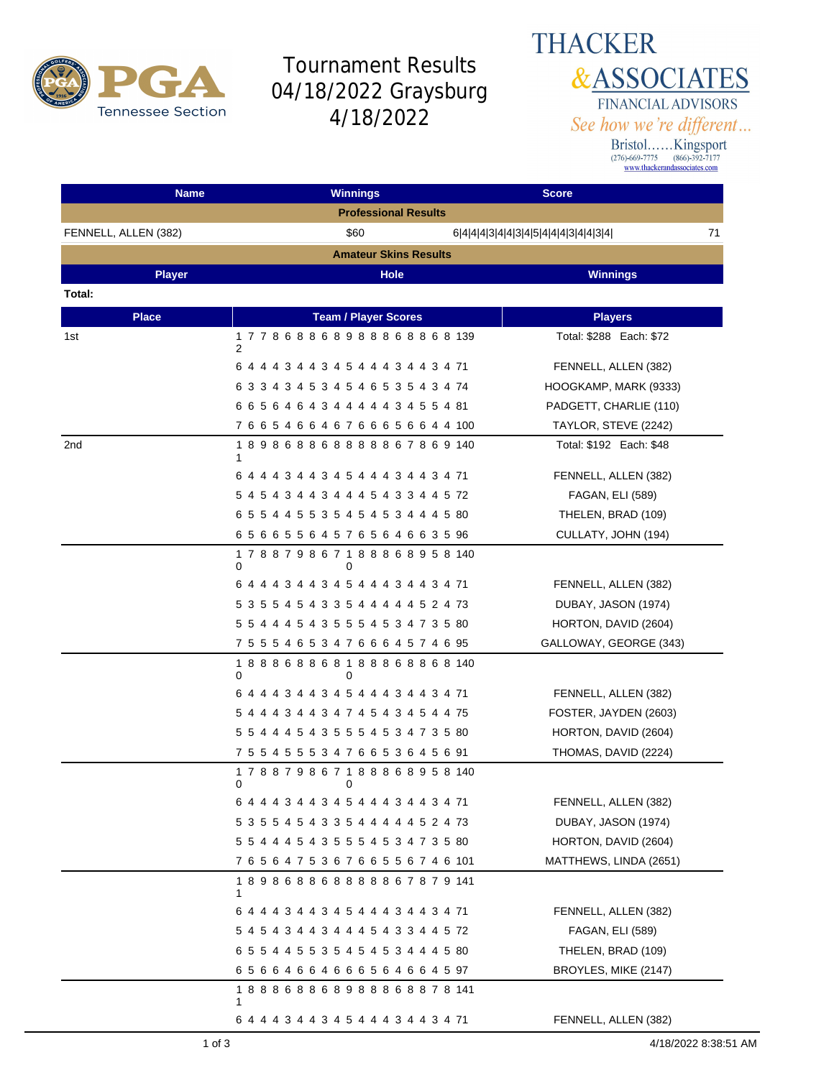

## Tournament Results 04/18/2022 Graysburg 4/18/2022

**THACKER &ASSOCIATES** FINANCIAL ADVISORS See how we're different...

Bristol......Kingsport<br>
(276)-669-7775 (866)-392-7177<br>
www.thackerandassociates.com

| <b>Name</b>          | <b>Winnings</b>                                   | <b>Score</b>                              |
|----------------------|---------------------------------------------------|-------------------------------------------|
|                      | <b>Professional Results</b>                       |                                           |
| FENNELL, ALLEN (382) | \$60                                              | 71<br>6 4 4 4 3 4 4 3 4 5 4 4 4 3 4 4 3 4 |
|                      | <b>Amateur Skins Results</b>                      |                                           |
| <b>Player</b>        | Hole                                              | <b>Winnings</b>                           |
| Total:               |                                                   |                                           |
| <b>Place</b>         | <b>Team / Player Scores</b>                       | <b>Players</b>                            |
| 1st                  | 177868868988868868139<br>2                        | Total: \$288 Each: \$72                   |
|                      | 6 4 4 4 3 4 4 3 4 5 4 4 4 3 4 4 3 4 71            | FENNELL, ALLEN (382)                      |
|                      | 6 3 3 4 3 4 5 3 4 5 4 6 5 3 5 4 3 4 74            | HOOGKAMP, MARK (9333)                     |
|                      | 6 6 5 6 4 6 4 3 4 4 4 4 4 3 4 5 5 4 81            | PADGETT, CHARLIE (110)                    |
|                      | 766546646766656644100                             | TAYLOR, STEVE (2242)                      |
| 2nd                  | 189868868888867869140<br>1                        | Total: \$192 Each: \$48                   |
|                      | 6 4 4 4 3 4 4 3 4 5 4 4 4 3 4 4 3 4 71            | FENNELL, ALLEN (382)                      |
|                      | 5 4 5 4 3 4 4 3 4 4 4 5 4 3 3 4 4 5 72            | <b>FAGAN, ELI (589)</b>                   |
|                      | 6 5 5 4 4 5 5 3 5 4 5 4 5 3 4 4 4 5 80            | THELEN, BRAD (109)                        |
|                      | 65665564576564663596                              | CULLATY, JOHN (194)                       |
|                      | 1 7 8 8 7 9 8 6 7 1 8 8 8 6 8 9 5 8 140<br>0<br>0 |                                           |
|                      | 6 4 4 4 3 4 4 3 4 5 4 4 4 3 4 4 3 4 71            | FENNELL, ALLEN (382)                      |
|                      | 5 3 5 5 4 5 4 3 3 5 4 4 4 4 4 5 2 4 73            | DUBAY, JASON (1974)                       |
|                      | 5 5 4 4 4 5 4 3 5 5 5 4 5 3 4 7 3 5 80            | HORTON, DAVID (2604)                      |
|                      | 7 5 5 5 4 6 5 3 4 7 6 6 6 4 5 7 4 6 95            | GALLOWAY, GEORGE (343)                    |
|                      | 188868868188868868140<br>0<br>0                   |                                           |
|                      | 6 4 4 4 3 4 4 3 4 5 4 4 4 3 4 4 3 4 71            | FENNELL, ALLEN (382)                      |
|                      | 5 4 4 4 3 4 4 3 4 7 4 5 4 3 4 5 4 4 75            | FOSTER, JAYDEN (2603)                     |
|                      | 5 5 4 4 4 5 4 3 5 5 5 4 5 3 4 7 3 5 80            | HORTON, DAVID (2604)                      |
|                      | 7 5 5 4 5 5 5 3 4 7 6 6 5 3 6 4 5 6 91            | THOMAS, DAVID (2224)                      |
|                      | 178879867188868958140<br>0<br>0                   |                                           |
|                      | 6 4 4 4 3 4 4 3 4 5 4 4 4 3 4 4 3 4 71            | FENNELL, ALLEN (382)                      |
|                      | 5 3 5 5 4 5 4 3 3 5 4 4 4 4 4 5 2 4 73            | DUBAY, JASON (1974)                       |
|                      | 5 5 4 4 4 5 4 3 5 5 5 4 5 3 4 7 3 5 80            | HORTON, DAVID (2604)                      |
|                      | 765647536766556746101                             | MATTHEWS, LINDA (2651)                    |
|                      | 189868868888867879141<br>1                        |                                           |
|                      | 6 4 4 4 3 4 4 3 4 5 4 4 4 3 4 4 3 4 71            | FENNELL, ALLEN (382)                      |
|                      | 5 4 5 4 3 4 4 3 4 4 4 5 4 3 3 4 4 5 72            | <b>FAGAN, ELI (589)</b>                   |
|                      | 6 5 5 4 4 5 5 3 5 4 5 4 5 3 4 4 4 5 80            | THELEN, BRAD (109)                        |
|                      | 65664664666564664597                              | BROYLES, MIKE (2147)                      |
|                      | 188868868988868878141<br>1                        |                                           |
|                      | 6 4 4 4 3 4 4 3 4 5 4 4 4 3 4 4 3 4 71            | FENNELL, ALLEN (382)                      |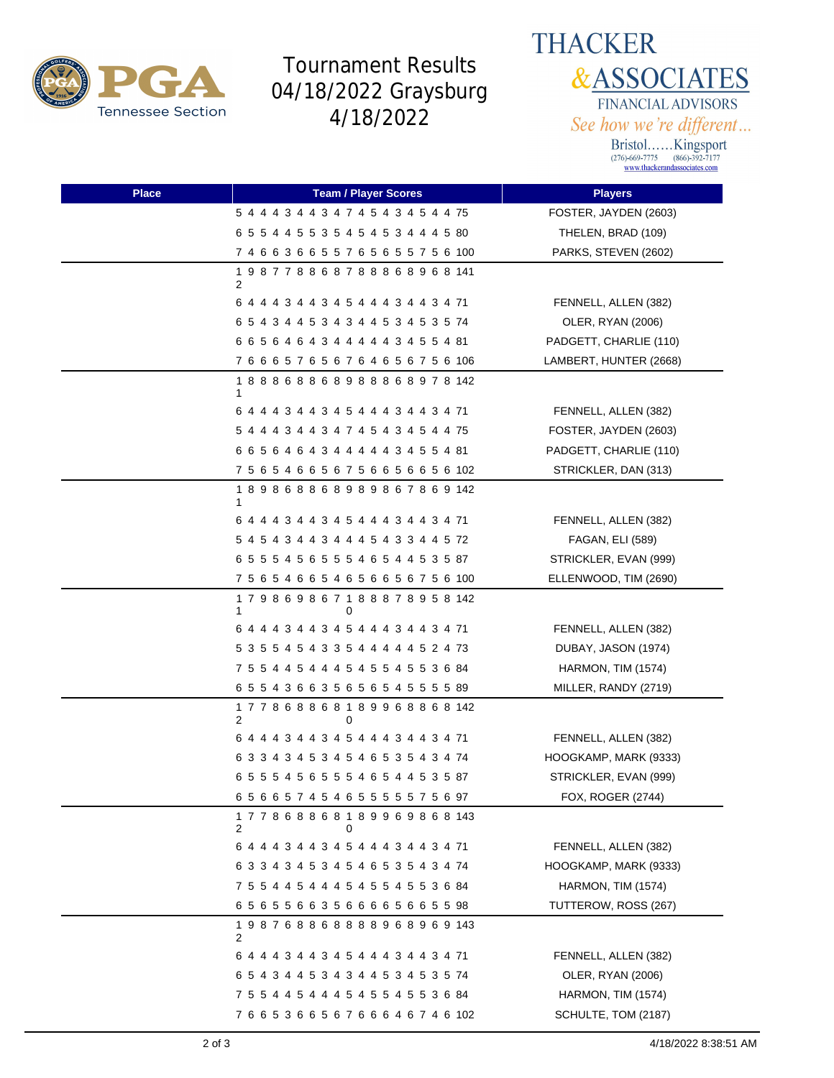

## Tournament Results 04/18/2022 Graysburg 4/18/2022



Bristol......Kingsport<br>
(276)-669-7775 (866)-392-7177<br>
www.thackerandassociates.com

| <b>Place</b> | <b>Team / Player Scores</b>             | <b>Players</b>            |
|--------------|-----------------------------------------|---------------------------|
|              | 5 4 4 4 3 4 4 3 4 7 4 5 4 3 4 5 4 4 75  | FOSTER, JAYDEN (2603)     |
|              | 6 5 5 4 4 5 5 3 5 4 5 4 5 3 4 4 4 5 80  | THELEN, BRAD (109)        |
|              | 7 4 6 6 3 6 6 5 5 7 6 5 6 5 5 7 5 6 100 | PARKS, STEVEN (2602)      |
|              | 198778868788868968141<br>2              |                           |
|              | 6 4 4 4 3 4 4 3 4 5 4 4 4 3 4 4 3 4 71  | FENNELL, ALLEN (382)      |
|              | 6 5 4 3 4 4 5 3 4 3 4 4 5 3 4 5 3 5 74  | OLER, RYAN (2006)         |
|              | 6 6 5 6 4 6 4 3 4 4 4 4 4 3 4 5 5 4 81  | PADGETT, CHARLIE (110)    |
|              | 7 6 6 6 5 7 6 5 6 7 6 4 6 5 6 7 5 6 106 | LAMBERT, HUNTER (2668)    |
|              | 188868868988868978142<br>1              |                           |
|              | 6 4 4 4 3 4 4 3 4 5 4 4 4 3 4 4 3 4 71  | FENNELL, ALLEN (382)      |
|              | 5 4 4 4 3 4 4 3 4 7 4 5 4 3 4 5 4 4 75  | FOSTER, JAYDEN (2603)     |
|              | 6 6 5 6 4 6 4 3 4 4 4 4 4 3 4 5 5 4 81  | PADGETT, CHARLIE (110)    |
|              | 7 5 6 5 4 6 6 5 6 7 5 6 6 5 6 6 5 6 102 | STRICKLER, DAN (313)      |
|              | 189868868989867869142<br>1              |                           |
|              | 6 4 4 4 3 4 4 3 4 5 4 4 4 3 4 4 3 4 71  | FENNELL, ALLEN (382)      |
|              | 5 4 5 4 3 4 4 3 4 4 4 5 4 3 3 4 4 5 72  | FAGAN, ELI (589)          |
|              | 6 5 5 5 4 5 6 5 5 5 4 6 5 4 4 5 3 5 87  | STRICKLER, EVAN (999)     |
|              | 7 5 6 5 4 6 6 5 4 6 5 6 6 5 6 7 5 6 100 | ELLENWOOD, TIM (2690)     |
|              | 179869867188878958142<br>1<br>0         |                           |
|              | 6 4 4 4 3 4 4 3 4 5 4 4 4 3 4 4 3 4 71  | FENNELL, ALLEN (382)      |
|              | 5 3 5 5 4 5 4 3 3 5 4 4 4 4 4 5 2 4 73  | DUBAY, JASON (1974)       |
|              | 7 5 5 4 4 5 4 4 4 5 4 5 5 4 5 5 3 6 84  | <b>HARMON, TIM (1574)</b> |
|              | 6 5 5 4 3 6 6 3 5 6 5 6 5 4 5 5 5 5 89  | MILLER, RANDY (2719)      |
|              | 177868868189968868142<br>2<br>0         |                           |
|              | 6 4 4 4 3 4 4 3 4 5 4 4 4 3 4 4 3 4 71  | FENNELL, ALLEN (382)      |
|              | 6 3 3 4 3 4 5 3 4 5 4 6 5 3 5 4 3 4 74  | HOOGKAMP, MARK (9333)     |
|              | 6 5 5 5 4 5 6 5 5 5 4 6 5 4 4 5 3 5 87  | STRICKLER, EVAN (999)     |
|              | 65665745465555575697                    | FOX, ROGER (2744)         |
|              | 177868868189969868143<br>2<br>0         |                           |
|              | 6 4 4 4 3 4 4 3 4 5 4 4 4 3 4 4 3 4 71  | FENNELL, ALLEN (382)      |
|              | 6 3 3 4 3 4 5 3 4 5 4 6 5 3 5 4 3 4 74  | HOOGKAMP, MARK (9333)     |
|              | 7 5 5 4 4 5 4 4 4 5 4 5 5 4 5 5 3 6 84  | <b>HARMON, TIM (1574)</b> |
|              | 65655663566665665598                    | TUTTEROW, ROSS (267)      |
|              | 198768868888968969143<br>2              |                           |
|              | 6 4 4 4 3 4 4 3 4 5 4 4 4 3 4 4 3 4 71  | FENNELL, ALLEN (382)      |
|              | 6 5 4 3 4 4 5 3 4 3 4 4 5 3 4 5 3 5 74  | OLER, RYAN (2006)         |
|              | 7 5 5 4 4 5 4 4 4 5 4 5 5 4 5 5 3 6 84  | HARMON, TIM (1574)        |
|              | 7 6 6 5 3 6 6 5 6 7 6 6 6 4 6 7 4 6 102 | SCHULTE, TOM (2187)       |